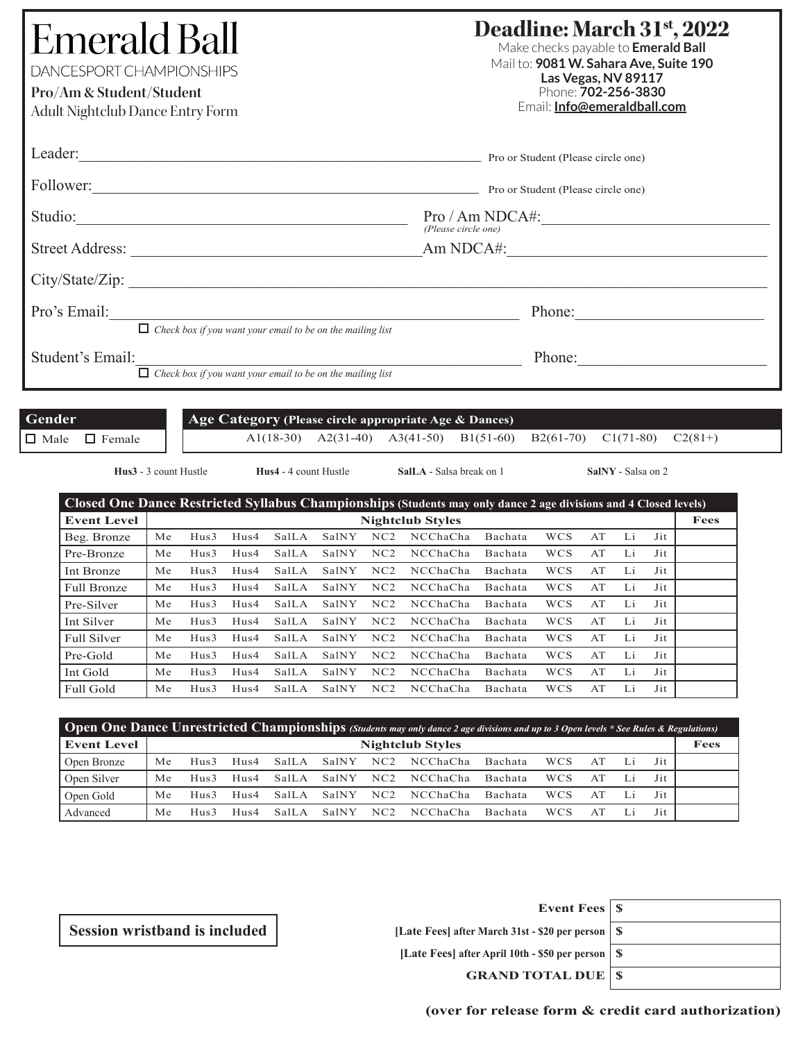# **Emerald Ball** DANCESPORT CHAMPIONSHIPS

**Pro/Am & Student/Student**

Adult Nightclub Dance Entry Form

## **Deadline: March 31st, 2022**

Make checks payable to **Emerald Ball** Mail to: **9081 W. Sahara Ave, Suite 190 Las Vegas, NV 89117** Phone: **702-256-3830** Email: **Info@emeraldball.com**

| Leader:                                                           | Pro or Student (Please circle one)     |
|-------------------------------------------------------------------|----------------------------------------|
| Follower:                                                         | Pro or Student (Please circle one)     |
| Studio:                                                           | Pro / Am NDCA#:<br>(Please circle one) |
| <b>Street Address:</b>                                            | Am NDCA#:                              |
| City/State/Zip:                                                   |                                        |
| Pro's Email:                                                      | Phone:                                 |
| $\Box$ Check box if you want your email to be on the mailing list |                                        |
| Student's Email:                                                  | Phone:                                 |

*Check box if you want your email to be on the mailing list*

| <b>Gender</b> |               | Age Category (Please circle appropriate Age & Dances) |                                                                         |  |  |           |  |
|---------------|---------------|-------------------------------------------------------|-------------------------------------------------------------------------|--|--|-----------|--|
| $\Box$ Male   | $\Box$ Female |                                                       | $A1(18-30)$ $A2(31-40)$ $A3(41-50)$ $B1(51-60)$ $B2(61-70)$ $C1(71-80)$ |  |  | $C2(81+)$ |  |

**Hus3** - 3 count Hustle **Hus4** - 4 count Hustle **SalLA** - Salsa break on 1 **SalNY** - Salsa on 2

| Closed One Dance Restricted Syllabus Championships (Students may only dance 2 age divisions and 4 Closed levels) |    |      |      |       |       |     |                         |         |            |    |    |     |      |
|------------------------------------------------------------------------------------------------------------------|----|------|------|-------|-------|-----|-------------------------|---------|------------|----|----|-----|------|
| <b>Event Level</b>                                                                                               |    |      |      |       |       |     | <b>Nightclub Styles</b> |         |            |    |    |     | Fees |
| Beg. Bronze                                                                                                      | Me | Hus3 | Hus4 | SalLA | SalNY | NC2 | NCChaCha                | Bachata | <b>WCS</b> | AT | Li | Jit |      |
| Pre-Bronze                                                                                                       | Мe | Hus3 | Hus4 | SalLA | SalNY | NC2 | NCChaCha                | Bachata | <b>WCS</b> | AT | Li | Jit |      |
| Int Bronze                                                                                                       | Me | Hus3 | Hus4 | SalLA | SalNY | NC2 | NCChaCha                | Bachata | <b>WCS</b> | AT | Li | Jit |      |
| <b>Full Bronze</b>                                                                                               | Мe | Hus3 | Hus4 | SalLA | SalNY | NC2 | NCChaCha                | Bachata | <b>WCS</b> | AT | Li | Jit |      |
| Pre-Silver                                                                                                       | Me | Hus3 | Hus4 | SalLA | SalNY | NC2 | NCChaCha                | Bachata | <b>WCS</b> | AT | Li | Jit |      |
| Int Silver                                                                                                       | Me | Hus3 | Hus4 | SalLA | SalNY | NC2 | NCChaCha                | Bachata | <b>WCS</b> | AT | Li | Jit |      |
| <b>Full Silver</b>                                                                                               | Me | Hus3 | Hus4 | SalLA | SalNY | NC2 | NCChaCha                | Bachata | <b>WCS</b> | AT | Li | Jit |      |
| Pre-Gold                                                                                                         | Me | Hus3 | Hus4 | SalLA | SalNY | NC2 | NCChaCha                | Bachata | <b>WCS</b> | AT | Li | Jit |      |
| Int Gold                                                                                                         | Me | Hus3 | Hus4 | SalLA | SalNY | NC2 | NCChaCha                | Bachata | <b>WCS</b> | AT | Li | Jit |      |
| Full Gold                                                                                                        | Me | Hus3 | Hus4 | SalLA | SalNY | NC2 | NCChaCha                | Bachata | WCS        | AT | Li | Jit |      |

| <b>Open One Dance Unrestricted Championships</b> (Students may only dance 2 age divisions and up to 3 Open levels * See Rules & Regulations) |                         |         |                  |       |       |                 |          |                |     |    |     |  |
|----------------------------------------------------------------------------------------------------------------------------------------------|-------------------------|---------|------------------|-------|-------|-----------------|----------|----------------|-----|----|-----|--|
| <b>Event Level</b>                                                                                                                           | <b>Nightclub Styles</b> |         |                  |       |       |                 | Fees     |                |     |    |     |  |
| Open Bronze                                                                                                                                  | Me                      | Hus3    | H <sub>us4</sub> | SalLA | SalNY | NC <sub>2</sub> | NCChaCha | <b>Bachata</b> | WCS | AT | Jit |  |
| Open Silver                                                                                                                                  | Me                      | $Hus$ 3 | H <sub>us4</sub> | SalLA | SalNY | NC2             | NCChaCha | <b>Bachata</b> | WCS | АT | Jit |  |
| Open Gold                                                                                                                                    | Me                      | $Hus$ 3 | H <sub>us4</sub> | SalLA | SalNY | NC2             | NCChaCha | <b>Bachata</b> | WCS | АT | Jit |  |
| Advanced                                                                                                                                     | Мe                      | Hus3    | H <sub>us4</sub> | SalLA | SalNY | NC <sub>2</sub> | NCChaCha | <b>Bachata</b> | WCS | A1 | Jit |  |

| Event Fees   \$                                     |  |
|-----------------------------------------------------|--|
| [Late Fees] after March 31st - \$20 per person   \$ |  |
| [Late Fees] after April 10th - \$50 per person   \$ |  |
| <b>GRAND TOTAL DUE   \$</b>                         |  |

**Session wristband is included**

**(over for release form & credit card authorization)**